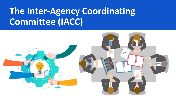# **The Inter-Agency Coordinating Committee (IACC)**

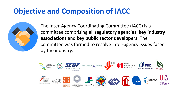### **Objective and Composition of IACC**



The Inter-Agency Coordinating Committee (IACC) is a committee comprising all **regulatory agencies**, **key industry associations** and **key public sector developers**. The committee was formed to resolve inter-agency issues faced by the industry.

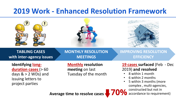### **2019 Work - Enhanced Resolution Framework**



• 5 within 3 months (more complex , multi-agencies, constructed but not in accordance to requirement)

**Average time to resolve cases 70%**

project parties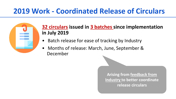### **2019 Work - Coordinated Release of Circulars**



### **32 circulars issued in 3 batches since implementation in July 2019**

- Batch release for ease of tracking by Industry
- Months of release: March, June, September & December

**Arising from feedback from Industry to better coordinate release circulars**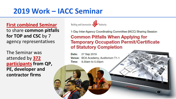### **2019 Work – IACC Seminar**

**First combined Seminar**  to share **common pitfalls for TOP and CSC** by 7 agency representatives

The Seminar was attended by **372 participants from QP, PE, developer and contractor firms**

Building and Construction

1-Day Inter-Agency Coordinating Committee (IACC) Sharing Session

#### **Common Pitfalls When Applying for Temporary Occupation Permit/Certificate** of Statutory Completion

27 Sep 2019 Date: Venue: BCA Academy, Auditorium T1-1 Time: 9.30am to 5.00pm